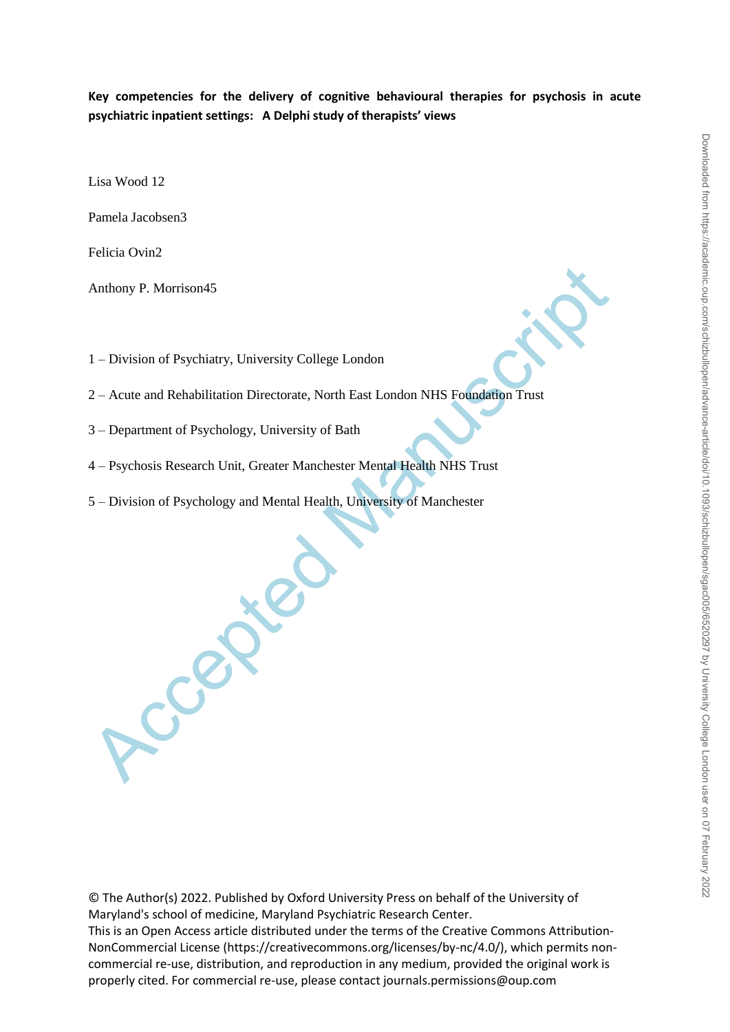**Key competencies for the delivery of cognitive behavioural therapies for psychosis in acute psychiatric inpatient settings: A Delphi study of therapists' views**

Lisa Wood 12

Pamela Jacobsen3

Felicia Ovin2

Anthony P. Morrison45

1 – Division of Psychiatry, University College London

Anthony P. Morrison45<br>
1 – Division of Psychiatry, University College London<br>
2 – Acute and Rehabilitation Directorate, North East London NHS Foundation Trust<br>
3 – Department of Psychology, University of Bath<br>
4 – Psychosi 2 – Acute and Rehabilitation Directorate, North East London NHS Foundation Trust

3 – Department of Psychology, University of Bath

4 – Psychosis Research Unit, Greater Manchester Mental Health NHS Trust

5 – Division of Psychology and Mental Health, University of Manchester

© The Author(s) 2022. Published by Oxford University Press on behalf of the University of Maryland's school of medicine, Maryland Psychiatric Research Center. This is an Open Access article distributed under the terms of the Creative Commons Attribution-NonCommercial License (https://creativecommons.org/licenses/by-nc/4.0/), which permits noncommercial re-use, distribution, and reproduction in any medium, provided the original work is properly cited. For commercial re-use, please contact journals.permissions@oup.com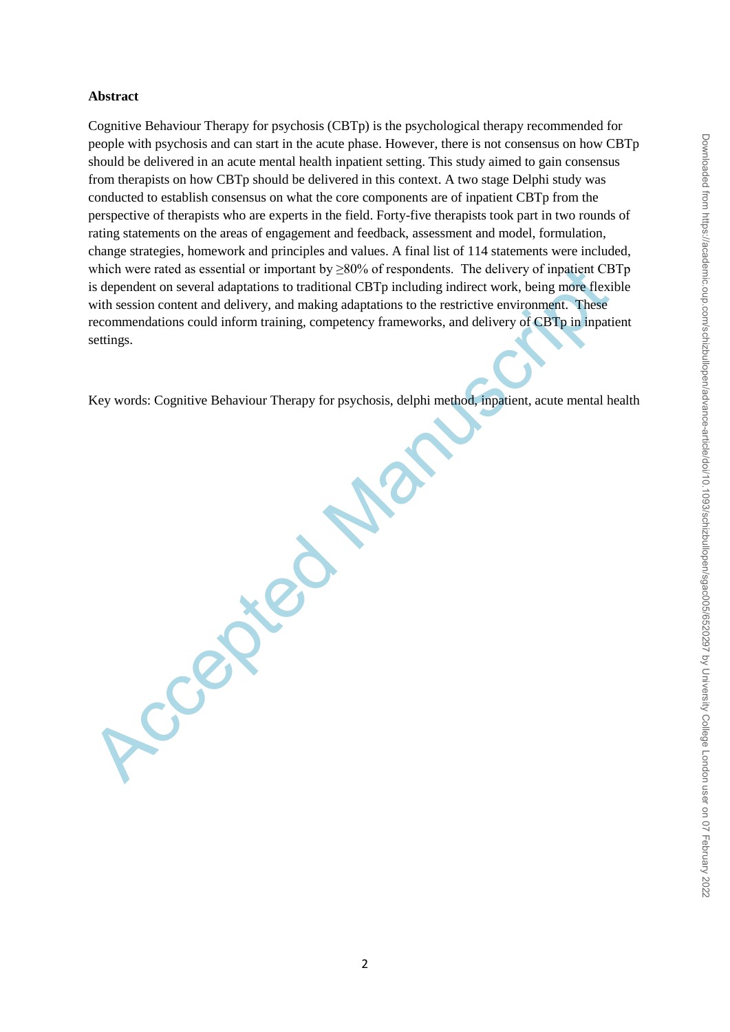## **Abstract**

which were rated as essential or important by 280% of respondents. The delivery of inpatient CB<br>is dependent on several adaptations to radiitonal CBTp including indirect work, being more flexit<br>with session content and del Cognitive Behaviour Therapy for psychosis (CBTp) is the psychological therapy recommended for people with psychosis and can start in the acute phase. However, there is not consensus on how CBTp should be delivered in an acute mental health inpatient setting. This study aimed to gain consensus from therapists on how CBTp should be delivered in this context. A two stage Delphi study was conducted to establish consensus on what the core components are of inpatient CBTp from the perspective of therapists who are experts in the field. Forty-five therapists took part in two rounds of rating statements on the areas of engagement and feedback, assessment and model, formulation, change strategies, homework and principles and values. A final list of 114 statements were included, which were rated as essential or important by  $\geq 80\%$  of respondents. The delivery of inpatient CBTp is dependent on several adaptations to traditional CBTp including indirect work, being more flexible with session content and delivery, and making adaptations to the restrictive environment. These recommendations could inform training, competency frameworks, and delivery of CBTp in inpatient settings.

Key words: Cognitive Behaviour Therapy for psychosis, delphi method, inpatient, acute mental health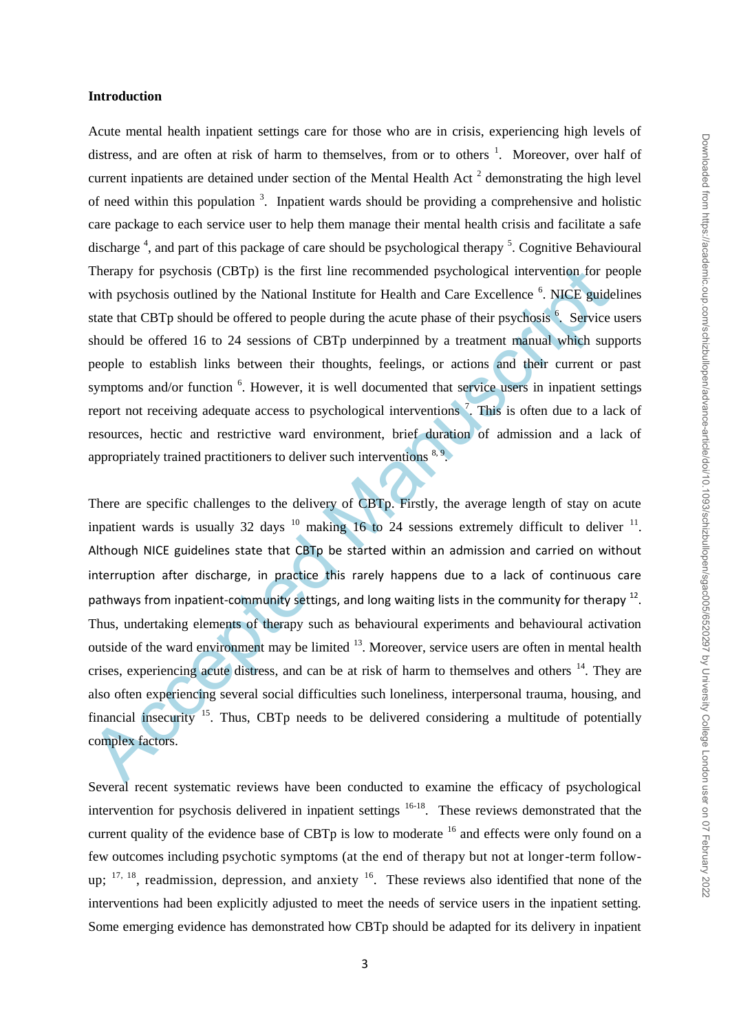#### **Introduction**

Acute mental health inpatient settings care for those who are in crisis, experiencing high levels of distress, and are often at risk of harm to themselves, from or to others <sup>1</sup>. Moreover, over half of current inpatients are detained under section of the Mental Health Act<sup>2</sup> demonstrating the high level of need within this population  $3$ . Inpatient wards should be providing a comprehensive and holistic care package to each service user to help them manage their mental health crisis and facilitate a safe discharge<sup>4</sup>, and part of this package of care should be psychological therapy<sup>5</sup>. Cognitive Behavioural Therapy for psychosis (CBTp) is the first line recommended psychological intervention for people with psychosis outlined by the National Institute for Health and Care Excellence<sup>6</sup>. NICE guidelines state that CBTp should be offered to people during the acute phase of their psychosis<sup>6</sup>. Service users should be offered 16 to 24 sessions of CBTp underpinned by a treatment manual which supports people to establish links between their thoughts, feelings, or actions and their current or past symptoms and/or function <sup>6</sup>. However, it is well documented that service users in inpatient settings report not receiving adequate access to psychological interventions<sup>7</sup>. This is often due to a lack of resources, hectic and restrictive ward environment, brief duration of admission and a lack of appropriately trained practitioners to deliver such interventions  $8.9$ .

Therapy for psychosis (CBTp) is the first line recommended psychological intervention, for ps<br>with psychosis outlined by the National Institute for Health and Care Excellence<sup>6</sup>. NICE: guide<br>state that CBTp should be offe There are specific challenges to the delivery of CBTp. Firstly, the average length of stay on acute inpatient wards is usually 32 days  $^{10}$  making 16 to 24 sessions extremely difficult to deliver  $^{11}$ . Although NICE guidelines state that CBTp be started within an admission and carried on without interruption after discharge, in practice this rarely happens due to a lack of continuous care pathways from inpatient-community settings, and long waiting lists in the community for therapy <sup>12</sup>. Thus, undertaking elements of therapy such as behavioural experiments and behavioural activation outside of the ward environment may be limited <sup>13</sup>. Moreover, service users are often in mental health crises, experiencing acute distress, and can be at risk of harm to themselves and others  $14$ . They are also often experiencing several social difficulties such loneliness, interpersonal trauma, housing, and financial insecurity  $^{15}$ . Thus, CBTp needs to be delivered considering a multitude of potentially complex factors.

Several recent systematic reviews have been conducted to examine the efficacy of psychological intervention for psychosis delivered in inpatient settings  $16-18$ . These reviews demonstrated that the current quality of the evidence base of CBTp is low to moderate <sup>16</sup> and effects were only found on a few outcomes including psychotic symptoms (at the end of therapy but not at longer-term followup;  $17, 18$ , readmission, depression, and anxiety  $16$ . These reviews also identified that none of the interventions had been explicitly adjusted to meet the needs of service users in the inpatient setting. Some emerging evidence has demonstrated how CBTp should be adapted for its delivery in inpatient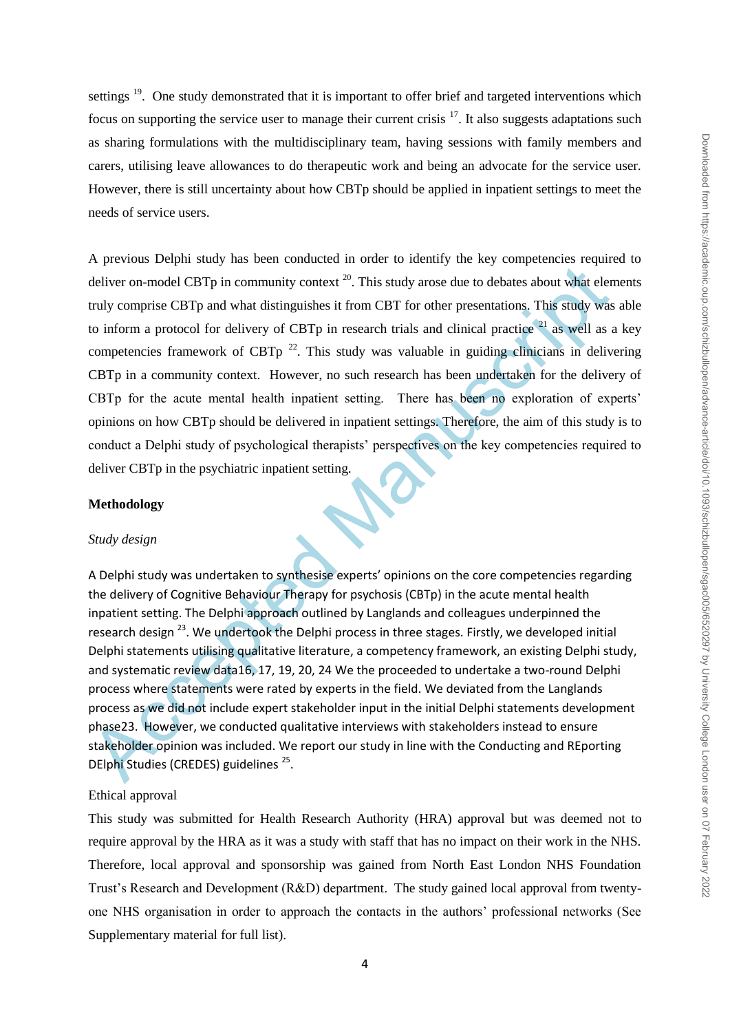settings <sup>19</sup>. One study demonstrated that it is important to offer brief and targeted interventions which focus on supporting the service user to manage their current crisis  $17$ . It also suggests adaptations such as sharing formulations with the multidisciplinary team, having sessions with family members and carers, utilising leave allowances to do therapeutic work and being an advocate for the service user. However, there is still uncertainty about how CBTp should be applied in inpatient settings to meet the needs of service users.

**Example 10** and the strainage interaction of the field. We deviate a bosonic statehold encompassion of the strain and chiral strainage of the field Wand the conduction and protocol for delivery of CBTp in research trials A previous Delphi study has been conducted in order to identify the key competencies required to deliver on-model CBTp in community context  $^{20}$ . This study arose due to debates about what elements truly comprise CBTp and what distinguishes it from CBT for other presentations. This study was able to inform a protocol for delivery of CBTp in research trials and clinical practice  $21$  as well as a key competencies framework of CBTp  $^{22}$ . This study was valuable in guiding clinicians in delivering CBTp in a community context. However, no such research has been undertaken for the delivery of CBTp for the acute mental health inpatient setting. There has been no exploration of experts' opinions on how CBTp should be delivered in inpatient settings. Therefore, the aim of this study is to conduct a Delphi study of psychological therapists' perspectives on the key competencies required to deliver CBTp in the psychiatric inpatient setting.

### **Methodology**

#### *Study design*

A Delphi study was undertaken to synthesise experts' opinions on the core competencies regarding the delivery of Cognitive Behaviour Therapy for psychosis (CBTp) in the acute mental health inpatient setting. The Delphi approach outlined by Langlands and colleagues underpinned the research design <sup>23</sup>. We undertook the Delphi process in three stages. Firstly, we developed initial Delphi statements utilising qualitative literature, a competency framework, an existing Delphi study, and systematic review data16, 17, 19, 20, 24 We the proceeded to undertake a two-round Delphi process where statements were rated by experts in the field. We deviated from the Langlands process as we did not include expert stakeholder input in the initial Delphi statements development phase23. However, we conducted qualitative interviews with stakeholders instead to ensure stakeholder opinion was included. We report our study in line with the Conducting and REporting DElphi Studies (CREDES) guidelines<sup>25</sup>.

#### Ethical approval

This study was submitted for Health Research Authority (HRA) approval but was deemed not to require approval by the HRA as it was a study with staff that has no impact on their work in the NHS. Therefore, local approval and sponsorship was gained from North East London NHS Foundation Trust"s Research and Development (R&D) department. The study gained local approval from twentyone NHS organisation in order to approach the contacts in the authors" professional networks (See Supplementary material for full list).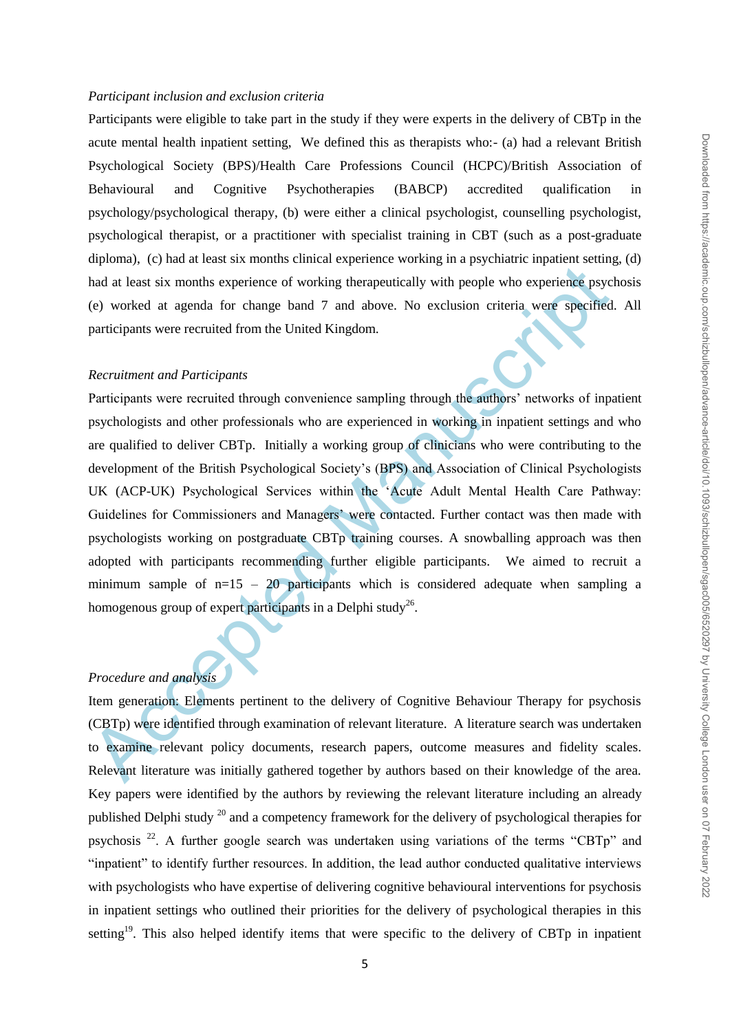## *Participant inclusion and exclusion criteria*

Participants were eligible to take part in the study if they were experts in the delivery of CBTp in the acute mental health inpatient setting, We defined this as therapists who:- (a) had a relevant British Psychological Society (BPS)/Health Care Professions Council (HCPC)/British Association of Behavioural and Cognitive Psychotherapies (BABCP) accredited qualification in psychology/psychological therapy, (b) were either a clinical psychologist, counselling psychologist, psychological therapist, or a practitioner with specialist training in CBT (such as a post-graduate diploma), (c) had at least six months clinical experience working in a psychiatric inpatient setting, (d) had at least six months experience of working therapeutically with people who experience psychosis (e) worked at agenda for change band 7 and above. No exclusion criteria were specified. All participants were recruited from the United Kingdom.

## *Recruitment and Participants*

Final at least six months experience of working therapeutically with people who experience psychologistal<br>
(e) worked at agenda for change band 7 and above. No exclusion criteria were specified<br>
participants were recruite Participants were recruited through convenience sampling through the authors' networks of inpatient psychologists and other professionals who are experienced in working in inpatient settings and who are qualified to deliver CBTp. Initially a working group of clinicians who were contributing to the development of the British Psychological Society"s (BPS) and Association of Clinical Psychologists UK (ACP-UK) Psychological Services within the "Acute Adult Mental Health Care Pathway: Guidelines for Commissioners and Managers' were contacted. Further contact was then made with psychologists working on postgraduate CBTp training courses. A snowballing approach was then adopted with participants recommending further eligible participants. We aimed to recruit a minimum sample of  $n=15 - 20$  participants which is considered adequate when sampling a homogenous group of expert participants in a Delphi study<sup>26</sup>.

## *Procedure and analysis*

Item generation: Elements pertinent to the delivery of Cognitive Behaviour Therapy for psychosis (CBTp) were identified through examination of relevant literature. A literature search was undertaken to examine relevant policy documents, research papers, outcome measures and fidelity scales. Relevant literature was initially gathered together by authors based on their knowledge of the area. Key papers were identified by the authors by reviewing the relevant literature including an already published Delphi study  $^{20}$  and a competency framework for the delivery of psychological therapies for psychosis <sup>22</sup>. A further google search was undertaken using variations of the terms "CBTp" and "inpatient" to identify further resources. In addition, the lead author conducted qualitative interviews with psychologists who have expertise of delivering cognitive behavioural interventions for psychosis in inpatient settings who outlined their priorities for the delivery of psychological therapies in this setting<sup>19</sup>. This also helped identify items that were specific to the delivery of CBTp in inpatient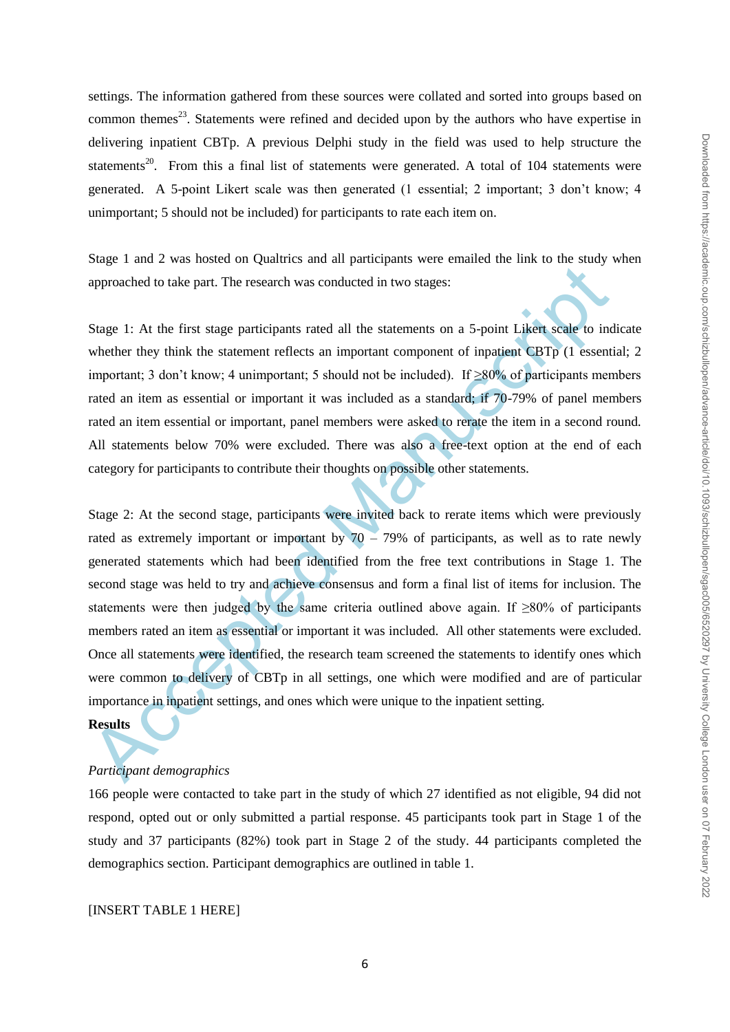settings. The information gathered from these sources were collated and sorted into groups based on common themes<sup>23</sup>. Statements were refined and decided upon by the authors who have expertise in delivering inpatient CBTp. A previous Delphi study in the field was used to help structure the statements<sup>20</sup>. From this a final list of statements were generated. A total of 104 statements were generated. A 5-point Likert scale was then generated (1 essential; 2 important; 3 don"t know; 4 unimportant; 5 should not be included) for participants to rate each item on.

Stage 1 and 2 was hosted on Qualtrics and all participants were emailed the link to the study when approached to take part. The research was conducted in two stages:

Stage 1: At the first stage participants rated all the statements on a 5-point Likert scale to indicate whether they think the statement reflects an important component of inpatient CBTp (1 essential; 2 important; 3 don't know; 4 unimportant; 5 should not be included). If  $\geq 80\%$  of participants members rated an item as essential or important it was included as a standard; if 70-79% of panel members rated an item essential or important, panel members were asked to rerate the item in a second round. All statements below 70% were excluded. There was also a free-text option at the end of each category for participants to contribute their thoughts on possible other statements.

approached to take part. The research was conducted in two stages:<br>
Stage 1: At the first stage participants rated all the statements on a 5-point Likert scale to ind<br>
whether they think the statement reflects an importan Stage 2: At the second stage, participants were invited back to rerate items which were previously rated as extremely important or important by  $70 - 79%$  of participants, as well as to rate newly generated statements which had been identified from the free text contributions in Stage 1. The second stage was held to try and achieve consensus and form a final list of items for inclusion. The statements were then judged by the same criteria outlined above again. If  $\geq 80\%$  of participants members rated an item as essential or important it was included. All other statements were excluded. Once all statements were identified, the research team screened the statements to identify ones which were common to delivery of CBTp in all settings, one which were modified and are of particular importance in inpatient settings, and ones which were unique to the inpatient setting.

#### **Results**

## *Participant demographics*

166 people were contacted to take part in the study of which 27 identified as not eligible, 94 did not respond, opted out or only submitted a partial response. 45 participants took part in Stage 1 of the study and 37 participants (82%) took part in Stage 2 of the study. 44 participants completed the demographics section. Participant demographics are outlined in table 1.

## [INSERT TABLE 1 HERE]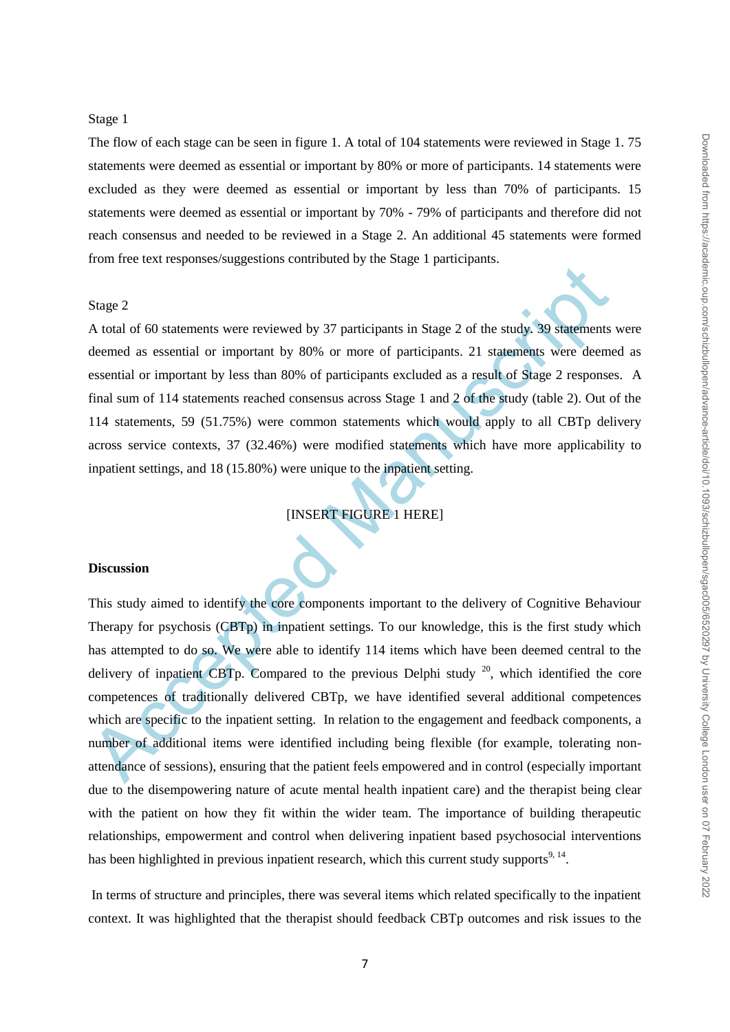#### Stage 1

The flow of each stage can be seen in figure 1. A total of 104 statements were reviewed in Stage 1. 75 statements were deemed as essential or important by 80% or more of participants. 14 statements were excluded as they were deemed as essential or important by less than 70% of participants. 15 statements were deemed as essential or important by 70% - 79% of participants and therefore did not reach consensus and needed to be reviewed in a Stage 2. An additional 45 statements were formed from free text responses/suggestions contributed by the Stage 1 participants.

#### Stage 2

A total of 60 statements were reviewed by 37 participants in Stage 2 of the study. 39 statements were deemed as essential or important by 80% or more of participants. 21 statements were deemed as essential or important by less than 80% of participants excluded as a result of Stage 2 responses. A final sum of 114 statements reached consensus across Stage 1 and 2 of the study (table 2). Out of the 114 statements, 59 (51.75%) were common statements which would apply to all CBTp delivery across service contexts, 37 (32.46%) were modified statements which have more applicability to inpatient settings, and 18 (15.80%) were unique to the inpatient setting.

[INSERT FIGURE 1 HERE]

#### **Discussion**

Example 12.1 and 18 (15.80%) were unique to the enterpret and reduced of statements of anticipants and stage 2 of the study. 39 statements deemed as essential or important by 80% or more of participants. 21 statements wer This study aimed to identify the core components important to the delivery of Cognitive Behaviour Therapy for psychosis (CBTp) in inpatient settings. To our knowledge, this is the first study which has attempted to do so. We were able to identify 114 items which have been deemed central to the delivery of inpatient CBTp. Compared to the previous Delphi study  $^{20}$ , which identified the core competences of traditionally delivered CBTp, we have identified several additional competences which are specific to the inpatient setting. In relation to the engagement and feedback components, a number of additional items were identified including being flexible (for example, tolerating nonattendance of sessions), ensuring that the patient feels empowered and in control (especially important due to the disempowering nature of acute mental health inpatient care) and the therapist being clear with the patient on how they fit within the wider team. The importance of building therapeutic relationships, empowerment and control when delivering inpatient based psychosocial interventions has been highlighted in previous inpatient research, which this current study supports<sup>9, 14</sup>.

In terms of structure and principles, there was several items which related specifically to the inpatient context. It was highlighted that the therapist should feedback CBTp outcomes and risk issues to the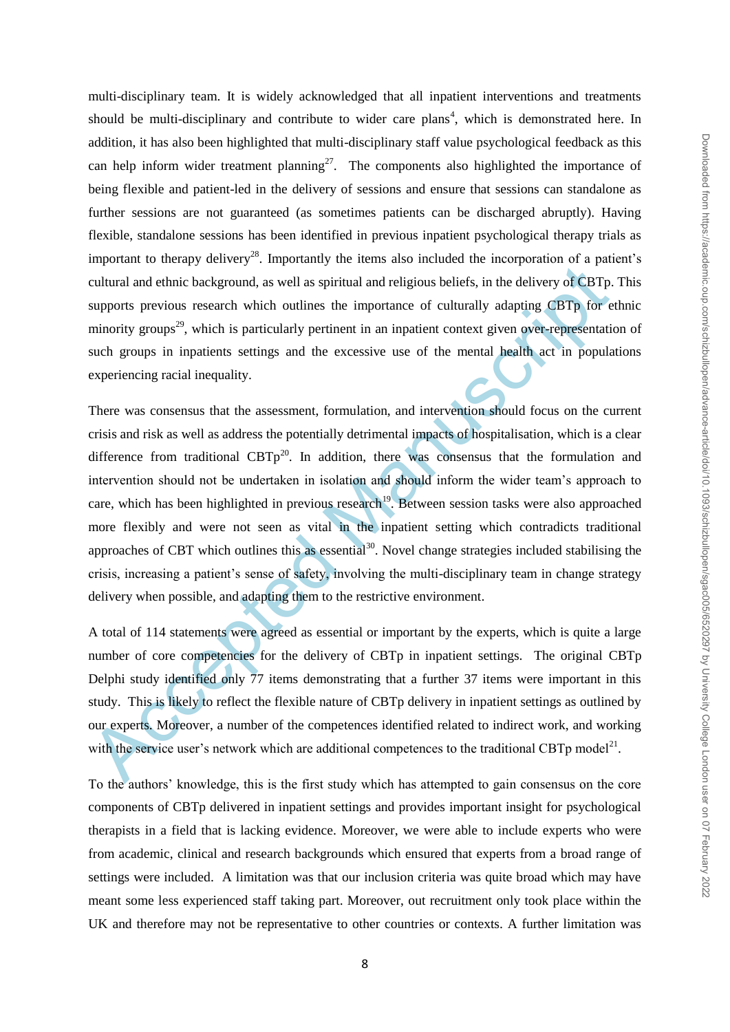multi-disciplinary team. It is widely acknowledged that all inpatient interventions and treatments should be multi-disciplinary and contribute to wider care plans<sup>4</sup>, which is demonstrated here. In addition, it has also been highlighted that multi-disciplinary staff value psychological feedback as this can help inform wider treatment planning<sup>27</sup>. The components also highlighted the importance of being flexible and patient-led in the delivery of sessions and ensure that sessions can standalone as further sessions are not guaranteed (as sometimes patients can be discharged abruptly). Having flexible, standalone sessions has been identified in previous inpatient psychological therapy trials as important to therapy delivery<sup>28</sup>. Importantly the items also included the incorporation of a patient's cultural and ethnic background, as well as spiritual and religious beliefs, in the delivery of CBTp. This supports previous research which outlines the importance of culturally adapting CBTp for ethnic minority groups<sup>29</sup>, which is particularly pertinent in an inpatient context given over-representation of such groups in inpatients settings and the excessive use of the mental health act in populations experiencing racial inequality.

cruding and entire background, as well as spiritual and religious beliefs, in the delivery of CBTp.<br>supports previous research which outlines the importance of culturally adapting CBTp for examples previous research which There was consensus that the assessment, formulation, and intervention should focus on the current crisis and risk as well as address the potentially detrimental impacts of hospitalisation, which is a clear difference from traditional  $CBTp^{20}$ . In addition, there was consensus that the formulation and intervention should not be undertaken in isolation and should inform the wider team"s approach to care, which has been highlighted in previous research<sup>19</sup>. Between session tasks were also approached more flexibly and were not seen as vital in the inpatient setting which contradicts traditional approaches of CBT which outlines this as essential<sup>30</sup>. Novel change strategies included stabilising the crisis, increasing a patient"s sense of safety, involving the multi-disciplinary team in change strategy delivery when possible, and adapting them to the restrictive environment.

A total of 114 statements were agreed as essential or important by the experts, which is quite a large number of core competencies for the delivery of CBTp in inpatient settings. The original CBTp Delphi study identified only 77 items demonstrating that a further 37 items were important in this study. This is likely to reflect the flexible nature of CBTp delivery in inpatient settings as outlined by our experts. Moreover, a number of the competences identified related to indirect work, and working with the service user's network which are additional competences to the traditional CBTp model<sup>21</sup>.

To the authors" knowledge, this is the first study which has attempted to gain consensus on the core components of CBTp delivered in inpatient settings and provides important insight for psychological therapists in a field that is lacking evidence. Moreover, we were able to include experts who were from academic, clinical and research backgrounds which ensured that experts from a broad range of settings were included. A limitation was that our inclusion criteria was quite broad which may have meant some less experienced staff taking part. Moreover, out recruitment only took place within the UK and therefore may not be representative to other countries or contexts. A further limitation was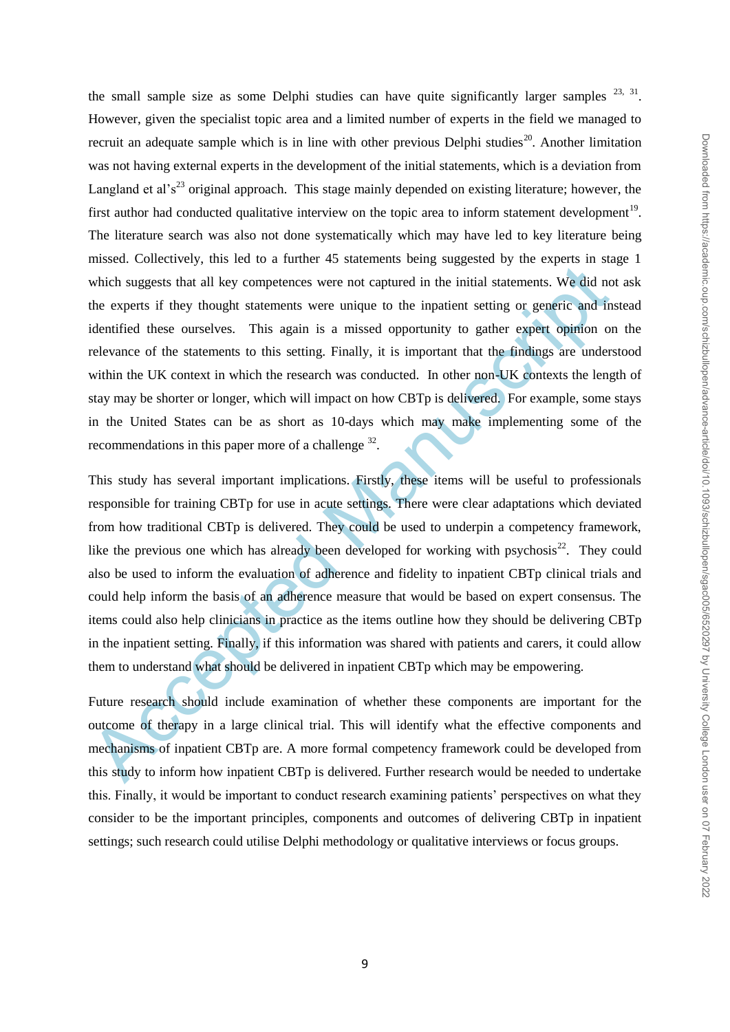the small sample size as some Delphi studies can have quite significantly larger samples  $^{23, 31}$ . However, given the specialist topic area and a limited number of experts in the field we managed to recruit an adequate sample which is in line with other previous Delphi studies<sup>20</sup>. Another limitation was not having external experts in the development of the initial statements, which is a deviation from Langland et al's<sup>23</sup> original approach. This stage mainly depended on existing literature; however, the first author had conducted qualitative interview on the topic area to inform statement development<sup>19</sup>. The literature search was also not done systematically which may have led to key literature being missed. Collectively, this led to a further 45 statements being suggested by the experts in stage 1 which suggests that all key competences were not captured in the initial statements. We did not ask the experts if they thought statements were unique to the inpatient setting or generic and instead identified these ourselves. This again is a missed opportunity to gather expert opinion on the relevance of the statements to this setting. Finally, it is important that the findings are understood within the UK context in which the research was conducted. In other non-UK contexts the length of stay may be shorter or longer, which will impact on how CBTp is delivered. For example, some stays in the United States can be as short as 10-days which may make implementing some of the recommendations in this paper more of a challenge  $32$ .

which suggests that all key competences were not captured in the initial statements. We did no<br>the experts if they thought statements were unique to the inpatient setting or generic and in<br>identified these ourselves. This This study has several important implications. Firstly, these items will be useful to professionals responsible for training CBTp for use in acute settings. There were clear adaptations which deviated from how traditional CBTp is delivered. They could be used to underpin a competency framework, like the previous one which has already been developed for working with psychosis $^{22}$ . They could also be used to inform the evaluation of adherence and fidelity to inpatient CBTp clinical trials and could help inform the basis of an adherence measure that would be based on expert consensus. The items could also help clinicians in practice as the items outline how they should be delivering CBTp in the inpatient setting. Finally, if this information was shared with patients and carers, it could allow them to understand what should be delivered in inpatient CBTp which may be empowering.

Future research should include examination of whether these components are important for the outcome of therapy in a large clinical trial. This will identify what the effective components and mechanisms of inpatient CBTp are. A more formal competency framework could be developed from this study to inform how inpatient CBTp is delivered. Further research would be needed to undertake this. Finally, it would be important to conduct research examining patients" perspectives on what they consider to be the important principles, components and outcomes of delivering CBTp in inpatient settings; such research could utilise Delphi methodology or qualitative interviews or focus groups.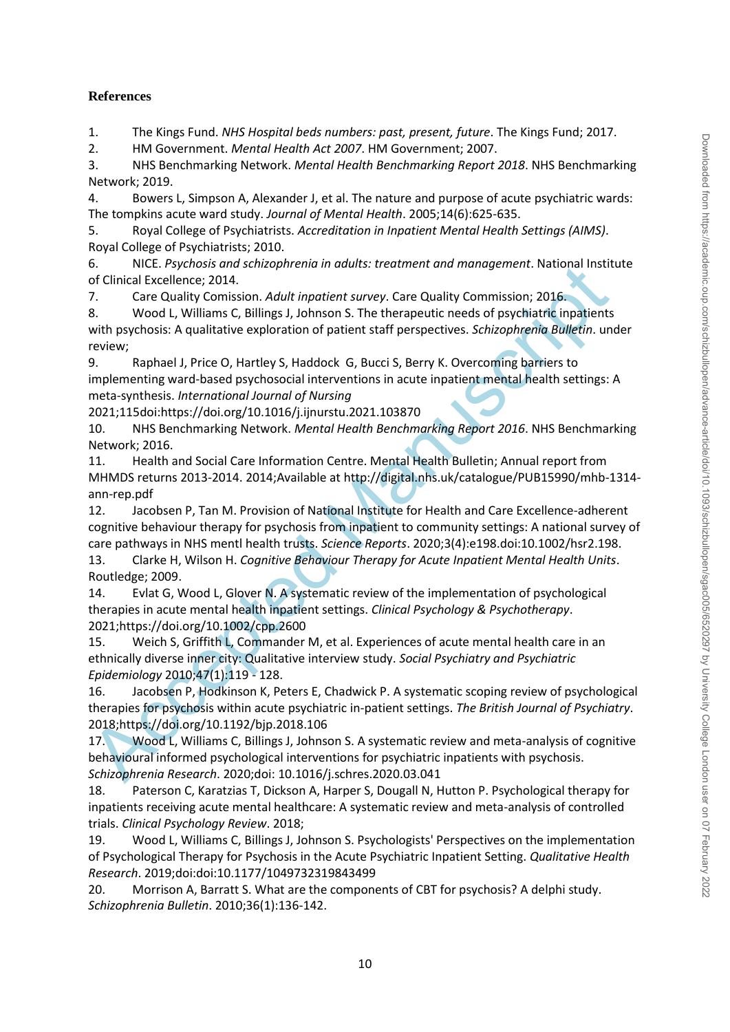## **References**

1. The Kings Fund. *NHS Hospital beds numbers: past, present, future*. The Kings Fund; 2017.

2. HM Government. *Mental Health Act 2007*. HM Government; 2007.

3. NHS Benchmarking Network. *Mental Health Benchmarking Report 2018*. NHS Benchmarking Network; 2019.

4. Bowers L, Simpson A, Alexander J, et al. The nature and purpose of acute psychiatric wards: The tompkins acute ward study. *Journal of Mental Health*. 2005;14(6):625-635.

5. Royal College of Psychiatrists. *Accreditation in Inpatient Mental Health Settings (AIMS)*. Royal College of Psychiatrists; 2010.

6. NICE. *Psychosis and schizophrenia in adults: treatment and management*. National Institute of Clinical Excellence; 2014.

7. Care Quality Comission. *Adult inpatient survey*. Care Quality Commission; 2016.

8. Wood L, Williams C, Billings J, Johnson S. The therapeutic needs of psychiatric inpatients with psychosis: A qualitative exploration of patient staff perspectives. *Schizophrenia Bulletin*. under review;

9. Raphael J, Price O, Hartley S, Haddock G, Bucci S, Berry K. Overcoming barriers to implementing ward-based psychosocial interventions in acute inpatient mental health settings: A meta-synthesis. *International Journal of Nursing* 

2021;115doi:https://doi.org/10.1016/j.ijnurstu.2021.103870

10. NHS Benchmarking Network. *Mental Health Benchmarking Report 2016*. NHS Benchmarking Network; 2016.

11. Health and Social Care Information Centre. Mental Health Bulletin; Annual report from MHMDS returns 2013-2014. 2014;Available at http://digital.nhs.uk/catalogue/PUB15990/mhb-1314 ann-rep.pdf

b.<br>
Inc. Psychols amazon particoparte and and any management. National instites<br>
of Clinical Excellence; 2014.<br>
7. Care Quality Comision. Adult importies turvey. Care Quality Commission, 2016.<br>
8. Wood L, Williams C, Billi 12. Jacobsen P, Tan M. Provision of National Institute for Health and Care Excellence-adherent cognitive behaviour therapy for psychosis from inpatient to community settings: A national survey of care pathways in NHS mentl health trusts. *Science Reports*. 2020;3(4):e198.doi:10.1002/hsr2.198. 13. Clarke H, Wilson H. *Cognitive Behaviour Therapy for Acute Inpatient Mental Health Units*. Routledge; 2009.

14. Evlat G, Wood L, Glover N. A systematic review of the implementation of psychological therapies in acute mental health inpatient settings. *Clinical Psychology & Psychotherapy*. 2021;https://doi.org/10.1002/cpp.2600

15. Weich S, Griffith L, Commander M, et al. Experiences of acute mental health care in an ethnically diverse inner city: Qualitative interview study. *Social Psychiatry and Psychiatric Epidemiology* 2010;47(1):119 - 128.

16. Jacobsen P, Hodkinson K, Peters E, Chadwick P. A systematic scoping review of psychological therapies for psychosis within acute psychiatric in-patient settings. *The British Journal of Psychiatry*. 2018;https://doi.org/10.1192/bjp.2018.106

17. Wood L, Williams C, Billings J, Johnson S. A systematic review and meta-analysis of cognitive behavioural informed psychological interventions for psychiatric inpatients with psychosis. *Schizophrenia Research*. 2020;doi: 10.1016/j.schres.2020.03.041

18. Paterson C, Karatzias T, Dickson A, Harper S, Dougall N, Hutton P. Psychological therapy for inpatients receiving acute mental healthcare: A systematic review and meta-analysis of controlled trials. *Clinical Psychology Review*. 2018;

19. Wood L, Williams C, Billings J, Johnson S. Psychologists' Perspectives on the implementation of Psychological Therapy for Psychosis in the Acute Psychiatric Inpatient Setting. *Qualitative Health Research*. 2019;doi:doi:10.1177/1049732319843499

20. Morrison A, Barratt S. What are the components of CBT for psychosis? A delphi study. *Schizophrenia Bulletin*. 2010;36(1):136-142.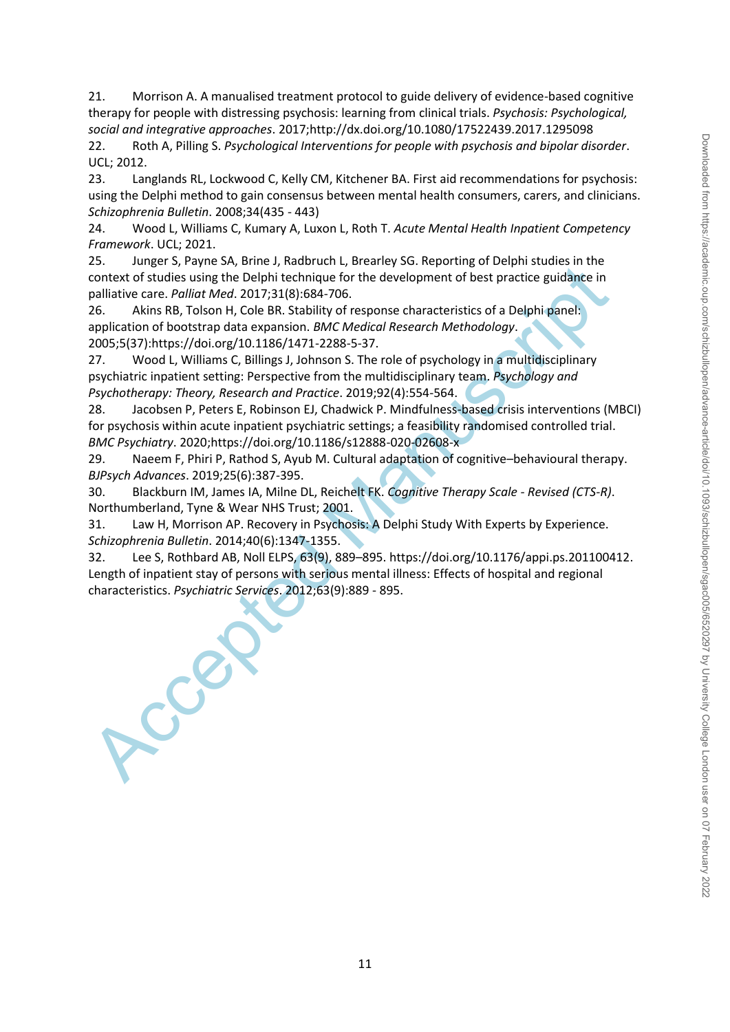21. Morrison A. A manualised treatment protocol to guide delivery of evidence-based cognitive therapy for people with distressing psychosis: learning from clinical trials. *Psychosis: Psychological, social and integrative approaches*. 2017;http://dx.doi.org/10.1080/17522439.2017.1295098

22. Roth A, Pilling S. *Psychological Interventions for people with psychosis and bipolar disorder*. UCL; 2012.

23. Langlands RL, Lockwood C, Kelly CM, Kitchener BA. First aid recommendations for psychosis: using the Delphi method to gain consensus between mental health consumers, carers, and clinicians. *Schizophrenia Bulletin*. 2008;34(435 - 443)

24. Wood L, Williams C, Kumary A, Luxon L, Roth T. *Acute Mental Health Inpatient Competency Framework*. UCL; 2021.

25. Junger S, Payne SA, Brine J, Radbruch L, Brearley SG. Reporting of Delphi studies in the context of studies using the Delphi technique for the development of best practice guidance in palliative care. *Palliat Med*. 2017;31(8):684-706.

26. Akins RB, Tolson H, Cole BR. Stability of response characteristics of a Delphi panel: application of bootstrap data expansion. *BMC Medical Research Methodology*. 2005;5(37):https://doi.org/10.1186/1471-2288-5-37.

27. Wood L, Williams C, Billings J, Johnson S. The role of psychology in a multidisciplinary psychiatric inpatient setting: Perspective from the multidisciplinary team. *Psychology and Psychotherapy: Theory, Research and Practice*. 2019;92(4):554-564.

28. Jacobsen P, Peters E, Robinson EJ, Chadwick P. Mindfulness-based crisis interventions (MBCI) for psychosis within acute inpatient psychiatric settings; a feasibility randomised controlled trial. *BMC Psychiatry*. 2020;https://doi.org/10.1186/s12888-020-02608-x

29. Naeem F, Phiri P, Rathod S, Ayub M. Cultural adaptation of cognitive–behavioural therapy. *BJPsych Advances*. 2019;25(6):387-395.

30. Blackburn IM, James IA, Milne DL, Reichelt FK. *Cognitive Therapy Scale - Revised (CTS-R)*. Northumberland, Tyne & Wear NHS Trust; 2001.

31. Law H, Morrison AP. Recovery in Psychosis: A Delphi Study With Experts by Experience. *Schizophrenia Bulletin*. 2014;40(6):1347-1355.

2.2.<br>
Access Context of studies using the Delphi technique for the development of best practice guidance in<br>
context of studies using the Delphi technique for the development of best practice guidance in<br>
26. Akins RB, Tol 32. Lee S, Rothbard AB, Noll ELPS, 63(9), 889–895. https://doi.org/10.1176/appi.ps.201100412. Length of inpatient stay of persons with serious mental illness: Effects of hospital and regional characteristics. *Psychiatric Services*. 2012;63(9):889 - 895.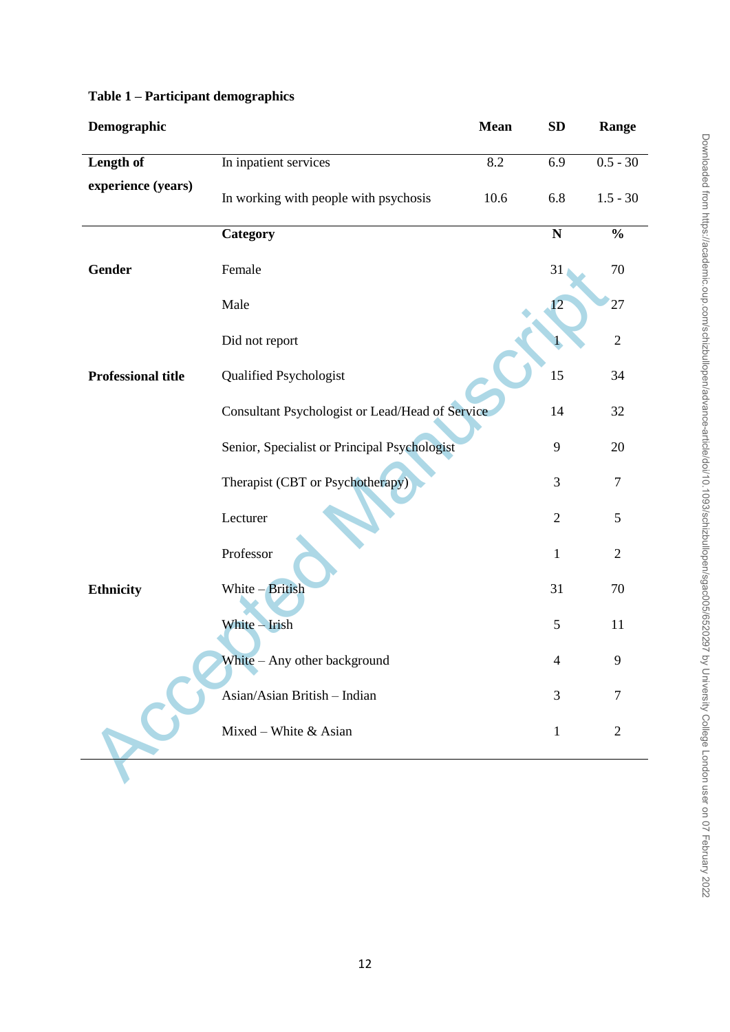| Demographic               |                                                 | Mean | <b>SD</b>      | Range          |
|---------------------------|-------------------------------------------------|------|----------------|----------------|
| Length of                 | In inpatient services                           | 8.2  | 6.9            | $0.5 - 30$     |
| experience (years)        | In working with people with psychosis           | 10.6 | 6.8            | $1.5 - 30$     |
|                           | Category                                        |      | ${\bf N}$      | $\frac{0}{0}$  |
| <b>Gender</b>             | Female                                          |      | 31             | 70             |
|                           | Male                                            |      | 12             | 27             |
|                           | Did not report                                  |      |                | $\sqrt{2}$     |
| <b>Professional title</b> | <b>Qualified Psychologist</b>                   |      | 15             | 34             |
|                           | Consultant Psychologist or Lead/Head of Service |      | 14             | 32             |
|                           | Senior, Specialist or Principal Psychologist    |      | 9              | 20             |
|                           | Therapist (CBT or Psychotherapy)                |      | 3              | 7              |
|                           | Lecturer                                        |      | $\overline{2}$ | 5              |
|                           | Professor                                       |      | $\mathbf{1}$   | $\mathfrak{2}$ |
| <b>Ethnicity</b>          | White - British                                 |      | 31             | 70             |
|                           | White - Irish                                   |      | 5              | 11             |
|                           | White - Any other background                    |      | $\overline{4}$ | 9              |
|                           | Asian/Asian British - Indian                    |      | 3              | 7              |
|                           | Mixed – White $&$ Asian                         |      | $\mathbf{1}$   | $\overline{2}$ |
|                           |                                                 |      |                |                |

# **Table 1 – Participant demographics**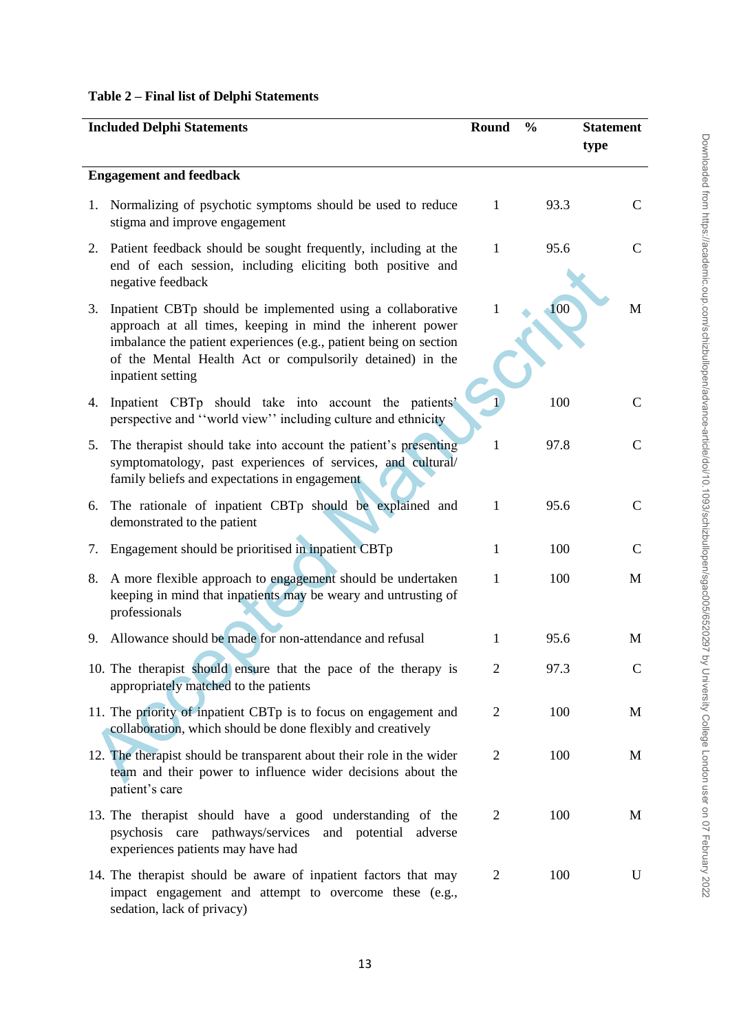# **Table 2 – Final list of Delphi Statements**

|    | <b>Included Delphi Statements</b>                                                                                                                                                                                                                                              | Round          | $\frac{0}{0}$ | <b>Statement</b><br>type |
|----|--------------------------------------------------------------------------------------------------------------------------------------------------------------------------------------------------------------------------------------------------------------------------------|----------------|---------------|--------------------------|
|    | <b>Engagement and feedback</b>                                                                                                                                                                                                                                                 |                |               |                          |
|    | 1. Normalizing of psychotic symptoms should be used to reduce<br>stigma and improve engagement                                                                                                                                                                                 | $\mathbf{1}$   | 93.3          | C                        |
| 2. | Patient feedback should be sought frequently, including at the<br>end of each session, including eliciting both positive and<br>negative feedback                                                                                                                              | 1              | 95.6          | $\mathcal{C}$            |
| 3. | Inpatient CBTp should be implemented using a collaborative<br>approach at all times, keeping in mind the inherent power<br>imbalance the patient experiences (e.g., patient being on section<br>of the Mental Health Act or compulsorily detained) in the<br>inpatient setting | 1              | 100           | M                        |
| 4. | Inpatient CBTp should take into account the patients'<br>perspective and "world view" including culture and ethnicity                                                                                                                                                          |                | 100           | $\mathcal{C}$            |
| 5. | The therapist should take into account the patient's presenting<br>symptomatology, past experiences of services, and cultural/<br>family beliefs and expectations in engagement                                                                                                | 1              | 97.8          | $\mathcal{C}$            |
| 6. | The rationale of inpatient CBTp should be explained and<br>demonstrated to the patient                                                                                                                                                                                         | 1              | 95.6          | $\mathcal{C}$            |
| 7. | Engagement should be prioritised in inpatient CBTp                                                                                                                                                                                                                             | 1              | 100           | $\mathsf{C}$             |
| 8. | A more flexible approach to engagement should be undertaken<br>keeping in mind that inpatients may be weary and untrusting of<br>professionals                                                                                                                                 | 1              | 100           | M                        |
| 9. | Allowance should be made for non-attendance and refusal                                                                                                                                                                                                                        | 1              | 95.6          | M                        |
|    | 10. The therapist should ensure that the pace of the therapy is<br>appropriately matched to the patients                                                                                                                                                                       | $\mathbf{z}$   | 97.3          |                          |
|    | 11. The priority of inpatient CBTp is to focus on engagement and<br>collaboration, which should be done flexibly and creatively                                                                                                                                                | $\overline{2}$ | 100           | M                        |
|    | 12. The therapist should be transparent about their role in the wider<br>team and their power to influence wider decisions about the<br>patient's care                                                                                                                         | $\overline{2}$ | 100           | M                        |
|    | 13. The therapist should have a good understanding of the<br>psychosis care pathways/services and potential<br>adverse<br>experiences patients may have had                                                                                                                    | $\overline{2}$ | 100           | M                        |
|    | 14. The therapist should be aware of inpatient factors that may<br>impact engagement and attempt to overcome these (e.g.,<br>sedation, lack of privacy)                                                                                                                        | $\overline{2}$ | 100           | U                        |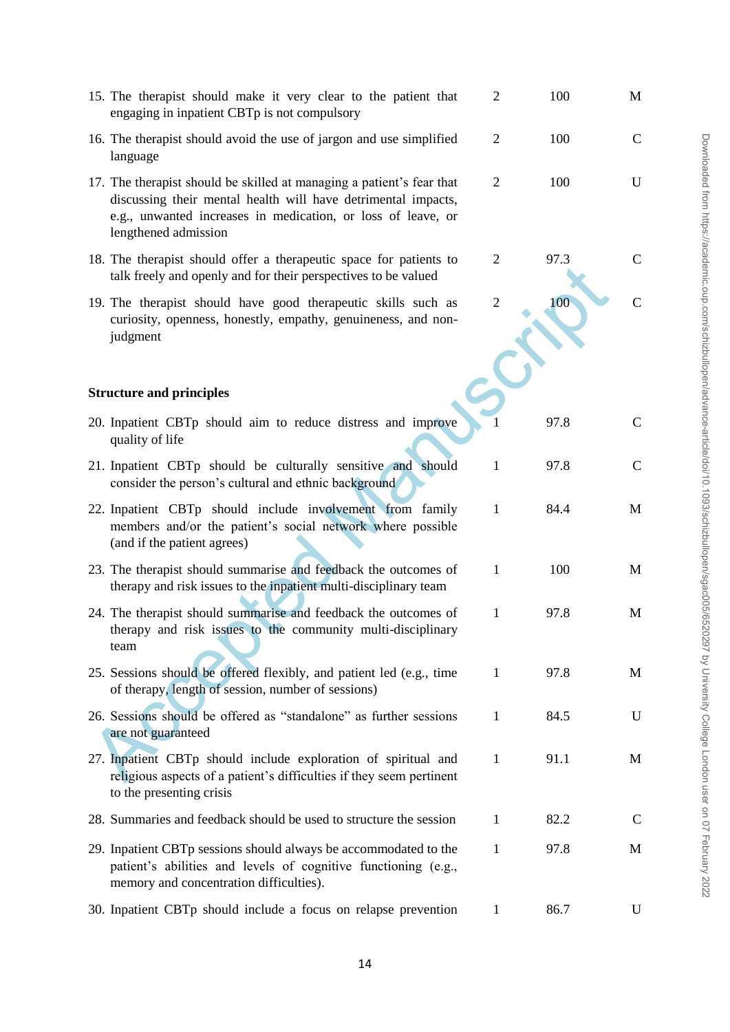| 15. The therapist should make it very clear to the patient that<br>engaging in inpatient CBTp is not compulsory                                                                                                                | $\mathfrak{2}$ | 100  | M           |
|--------------------------------------------------------------------------------------------------------------------------------------------------------------------------------------------------------------------------------|----------------|------|-------------|
| 16. The therapist should avoid the use of jargon and use simplified<br>language                                                                                                                                                | $\overline{2}$ | 100  | $\mathbf C$ |
| 17. The therapist should be skilled at managing a patient's fear that<br>discussing their mental health will have detrimental impacts,<br>e.g., unwanted increases in medication, or loss of leave, or<br>lengthened admission | $\overline{2}$ | 100  | U           |
| 18. The therapist should offer a therapeutic space for patients to<br>talk freely and openly and for their perspectives to be valued                                                                                           | $\overline{2}$ | 97.3 | C           |
| 19. The therapist should have good therapeutic skills such as<br>curiosity, openness, honestly, empathy, genuineness, and non-<br>judgment                                                                                     | $\mathfrak{2}$ | 100  | C           |
| <b>Structure and principles</b>                                                                                                                                                                                                |                |      |             |
| 20. Inpatient CBTp should aim to reduce distress and improve<br>quality of life                                                                                                                                                |                | 97.8 | C           |
| 21. Inpatient CBTp should be culturally sensitive and should<br>consider the person's cultural and ethnic background                                                                                                           | $\mathbf{1}$   | 97.8 | C           |
| 22. Inpatient CBTp should include involvement from family<br>members and/or the patient's social network where possible<br>(and if the patient agrees)                                                                         | $\mathbf{1}$   | 84.4 | M           |
| 23. The therapist should summarise and feedback the outcomes of<br>therapy and risk issues to the inpatient multi-disciplinary team                                                                                            | $\mathbf{1}$   | 100  | M           |
| 24. The therapist should summarise and feedback the outcomes of<br>therapy and risk issues to the community multi-disciplinary<br>team                                                                                         | 1              | 97.8 | M           |
| 25. Sessions should be offered flexibly, and patient led (e.g., time<br>of therapy, length of session, number of sessions)                                                                                                     | 1              | 97.8 | M           |
| 26. Sessions should be offered as "standalone" as further sessions<br>are not guaranteed                                                                                                                                       | 1              | 84.5 | U           |
| 27. Inpatient CBTp should include exploration of spiritual and<br>religious aspects of a patient's difficulties if they seem pertinent<br>to the presenting crisis                                                             | 1              | 91.1 | M           |
| 28. Summaries and feedback should be used to structure the session                                                                                                                                                             | 1              | 82.2 | C           |
| 29. Inpatient CBTp sessions should always be accommodated to the<br>patient's abilities and levels of cognitive functioning (e.g.,<br>memory and concentration difficulties).                                                  | 1              | 97.8 | M           |
| 30. Inpatient CBTp should include a focus on relapse prevention                                                                                                                                                                | 1              | 86.7 | U           |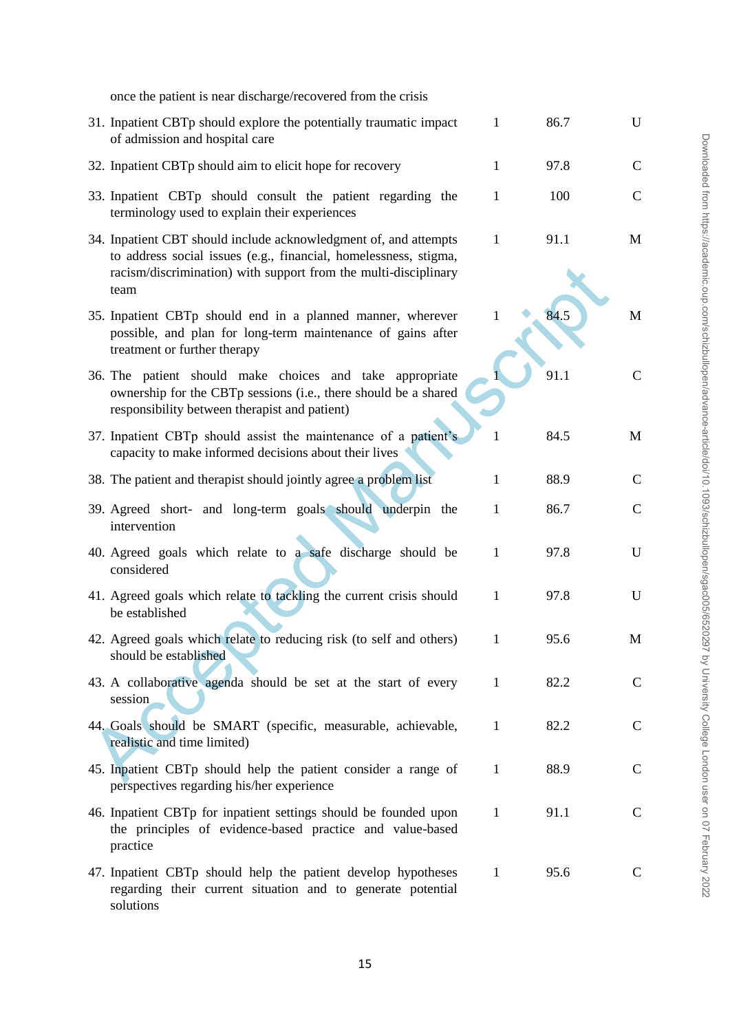| once the patient is near discharge/recovered from the crisis                                                                                                                                                    |              |      |               |
|-----------------------------------------------------------------------------------------------------------------------------------------------------------------------------------------------------------------|--------------|------|---------------|
| 31. Inpatient CBTp should explore the potentially traumatic impact<br>of admission and hospital care                                                                                                            | $\mathbf{1}$ | 86.7 | U             |
| 32. Inpatient CBTp should aim to elicit hope for recovery                                                                                                                                                       | $\mathbf{1}$ | 97.8 | $\mathcal{C}$ |
| 33. Inpatient CBTp should consult the patient regarding the<br>terminology used to explain their experiences                                                                                                    | $\mathbf{1}$ | 100  | $\mathcal{C}$ |
| 34. Inpatient CBT should include acknowledgment of, and attempts<br>to address social issues (e.g., financial, homelessness, stigma,<br>racism/discrimination) with support from the multi-disciplinary<br>team | $\mathbf{1}$ | 91.1 | M             |
| 35. Inpatient CBTp should end in a planned manner, wherever<br>possible, and plan for long-term maintenance of gains after<br>treatment or further therapy                                                      | 1            | 84.5 | M             |
| 36. The patient should make choices and take appropriate<br>ownership for the CBTp sessions (i.e., there should be a shared<br>responsibility between therapist and patient)                                    |              | 91.1 | $\mathbf C$   |
| 37. Inpatient CBTp should assist the maintenance of a patient's<br>capacity to make informed decisions about their lives                                                                                        |              | 84.5 | M             |
| 38. The patient and therapist should jointly agree a problem list                                                                                                                                               | 1            | 88.9 | $\mathbf C$   |
| 39. Agreed short- and long-term goals should underpin the<br>intervention                                                                                                                                       | 1            | 86.7 | $\mathbf C$   |
| 40. Agreed goals which relate to a safe discharge should be<br>considered                                                                                                                                       | 1            | 97.8 | U             |
| 41. Agreed goals which relate to tackling the current crisis should<br>be established                                                                                                                           | $\mathbf{1}$ | 97.8 | U             |
| 42. Agreed goals which relate to reducing risk (to self and others)<br>should be established                                                                                                                    | $\perp$      | 95.6 | M             |
| 43. A collaborative agenda should be set at the start of every<br>session                                                                                                                                       | $\mathbf{1}$ | 82.2 | $\mathbf C$   |
| 44. Goals should be SMART (specific, measurable, achievable,<br>realistic and time limited)                                                                                                                     | $\mathbf{1}$ | 82.2 | $\mathbf C$   |
| 45. Inpatient CBTp should help the patient consider a range of<br>perspectives regarding his/her experience                                                                                                     | $\mathbf{1}$ | 88.9 | $\mathbf C$   |
| 46. Inpatient CBTp for inpatient settings should be founded upon<br>the principles of evidence-based practice and value-based<br>practice                                                                       | $\mathbf{1}$ | 91.1 | $\mathbf C$   |
| 47. Inpatient CBTp should help the patient develop hypotheses<br>regarding their current situation and to generate potential<br>solutions                                                                       | $\mathbf{1}$ | 95.6 | $\mathbf C$   |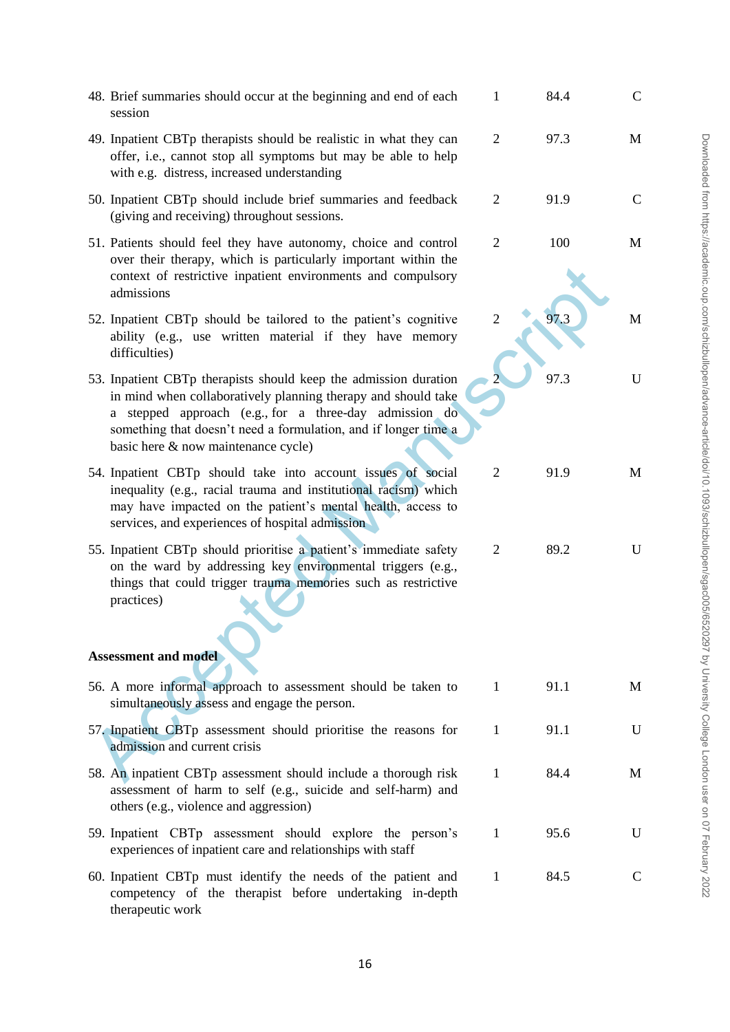| 48. Brief summaries should occur at the beginning and end of each<br>session                                                                                                                                                                                                                          | $\mathbf{1}$   | 84.4 | C             |
|-------------------------------------------------------------------------------------------------------------------------------------------------------------------------------------------------------------------------------------------------------------------------------------------------------|----------------|------|---------------|
| 49. Inpatient CBTp therapists should be realistic in what they can<br>offer, i.e., cannot stop all symptoms but may be able to help<br>with e.g. distress, increased understanding                                                                                                                    | $\overline{2}$ | 97.3 | M             |
| 50. Inpatient CBTp should include brief summaries and feedback<br>(giving and receiving) throughout sessions.                                                                                                                                                                                         | $\overline{2}$ | 91.9 | $\mathcal{C}$ |
| 51. Patients should feel they have autonomy, choice and control<br>over their therapy, which is particularly important within the<br>context of restrictive inpatient environments and compulsory<br>admissions                                                                                       | $\overline{2}$ | 100  | M             |
| 52. Inpatient CBTp should be tailored to the patient's cognitive<br>ability (e.g., use written material if they have memory<br>difficulties)                                                                                                                                                          | 2              | 97.3 | M             |
| 53. Inpatient CBTp therapists should keep the admission duration<br>in mind when collaboratively planning therapy and should take<br>a stepped approach (e.g., for a three-day admission do<br>something that doesn't need a formulation, and if longer time a<br>basic here & now maintenance cycle) |                | 97.3 | U             |
| 54. Inpatient CBTp should take into account issues of social<br>inequality (e.g., racial trauma and institutional racism) which<br>may have impacted on the patient's mental health, access to<br>services, and experiences of hospital admission                                                     | $\overline{2}$ | 91.9 | M             |
| 55. Inpatient CBTp should prioritise a patient's immediate safety<br>on the ward by addressing key environmental triggers (e.g.,<br>things that could trigger trauma memories such as restrictive<br>practices)                                                                                       | 2              | 89.2 | U             |
| <b>Assessment and model</b>                                                                                                                                                                                                                                                                           |                |      |               |
| 56. A more informal approach to assessment should be taken to<br>simultaneously assess and engage the person.                                                                                                                                                                                         | $\mathbf{1}$   | 91.1 | M             |
| 57. Inpatient CBTp assessment should prioritise the reasons for<br>admission and current crisis                                                                                                                                                                                                       | $\mathbf{1}$   | 91.1 | U             |
| 58. An inpatient CBTp assessment should include a thorough risk<br>assessment of harm to self (e.g., suicide and self-harm) and<br>others (e.g., violence and aggression)                                                                                                                             | $\mathbf{1}$   | 84.4 | M             |
| 59. Inpatient CBTp assessment should explore the person's<br>experiences of inpatient care and relationships with staff                                                                                                                                                                               | $\mathbf{1}$   | 95.6 | U             |
| 60. Inpatient CBTp must identify the needs of the patient and<br>competency of the therapist before undertaking in-depth<br>therapeutic work                                                                                                                                                          | $\mathbf{1}$   | 84.5 | C             |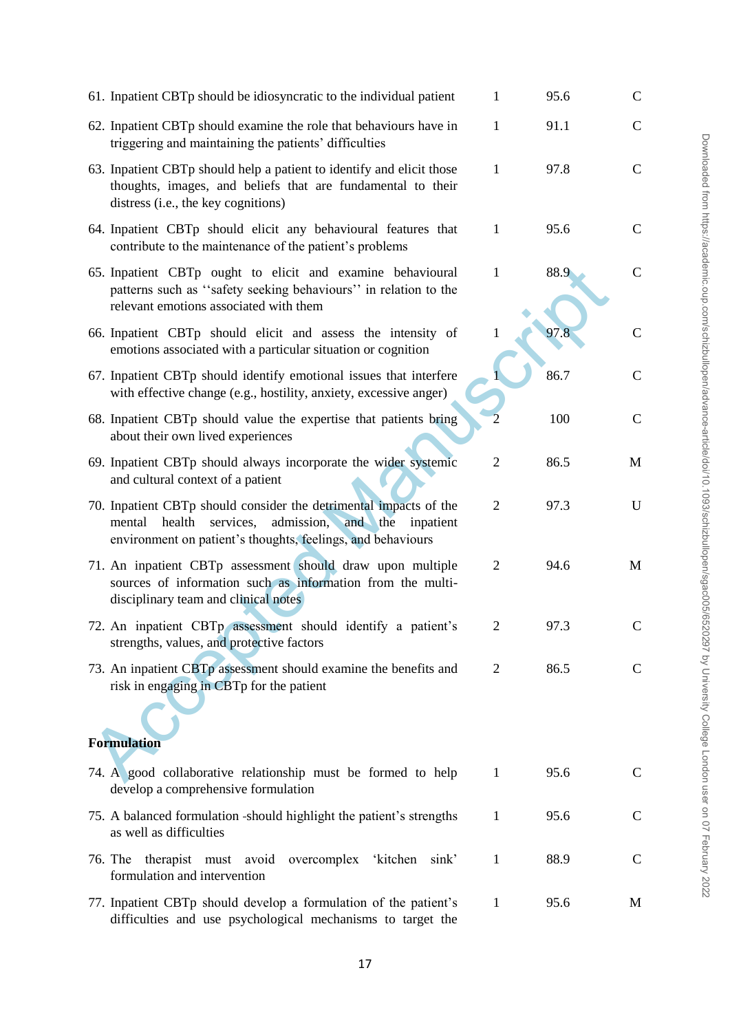| 61. Inpatient CBTp should be idiosyncratic to the individual patient                                                                                                                                 | 1              | 95.6 | $\mathbf C$   |  |
|------------------------------------------------------------------------------------------------------------------------------------------------------------------------------------------------------|----------------|------|---------------|--|
| 62. Inpatient CBTp should examine the role that behaviours have in<br>triggering and maintaining the patients' difficulties                                                                          | $\mathbf{1}$   | 91.1 | $\mathbf C$   |  |
| 63. Inpatient CBTp should help a patient to identify and elicit those<br>thoughts, images, and beliefs that are fundamental to their<br>distress (i.e., the key cognitions)                          | 1              | 97.8 | $\mathbf C$   |  |
| 64. Inpatient CBTp should elicit any behavioural features that<br>contribute to the maintenance of the patient's problems                                                                            | $\mathbf{1}$   | 95.6 | $\mathbf C$   |  |
| 65. Inpatient CBTp ought to elicit and examine behavioural<br>patterns such as "safety seeking behaviours" in relation to the<br>relevant emotions associated with them                              | $\mathbf{1}$   | 88.9 | $\mathbf C$   |  |
| 66. Inpatient CBTp should elicit and assess the intensity of<br>emotions associated with a particular situation or cognition                                                                         | $\mathbf{1}$   | 97.8 | $\mathsf{C}$  |  |
| 67. Inpatient CBTp should identify emotional issues that interfere<br>with effective change (e.g., hostility, anxiety, excessive anger)                                                              |                | 86.7 | $\mathbf C$   |  |
| 68. Inpatient CBTp should value the expertise that patients bring<br>about their own lived experiences                                                                                               |                | 100  | $\mathbf C$   |  |
| 69. Inpatient CBTp should always incorporate the wider systemic<br>and cultural context of a patient                                                                                                 | $\overline{2}$ | 86.5 | M             |  |
| 70. Inpatient CBTp should consider the detrimental impacts of the<br>admission, and the<br>health<br>services,<br>mental<br>inpatient<br>environment on patient's thoughts, feelings, and behaviours | $\overline{2}$ | 97.3 | U             |  |
| 71. An inpatient CBTp assessment should draw upon multiple<br>sources of information such as information from the multi-<br>disciplinary team and clinical notes                                     | $\overline{2}$ | 94.6 | M             |  |
| 72. An inpatient CBTp assessment should identify a patient's<br>strengths, values, and protective factors                                                                                            | $\overline{2}$ | 97.3 | $\mathbf C$   |  |
| 73. An inpatient CBTp assessment should examine the benefits and<br>risk in engaging in CBTp for the patient                                                                                         | 2              | 86.5 | C             |  |
| <b>Formulation</b>                                                                                                                                                                                   |                |      |               |  |
| 74. A good collaborative relationship must be formed to help<br>develop a comprehensive formulation                                                                                                  | $\mathbf{1}$   | 95.6 | $\mathbf C$   |  |
| 75. A balanced formulation -should highlight the patient's strengths<br>as well as difficulties                                                                                                      | 1              | 95.6 | $\mathcal{C}$ |  |
| 76. The therapist must avoid<br>overcomplex 'kitchen<br>sink'<br>formulation and intervention                                                                                                        | $\mathbf{1}$   | 88.9 | $\mathbf C$   |  |
| 77. Inpatient CBTp should develop a formulation of the patient's<br>difficulties and use psychological mechanisms to target the                                                                      | $\mathbf{1}$   | 95.6 | M             |  |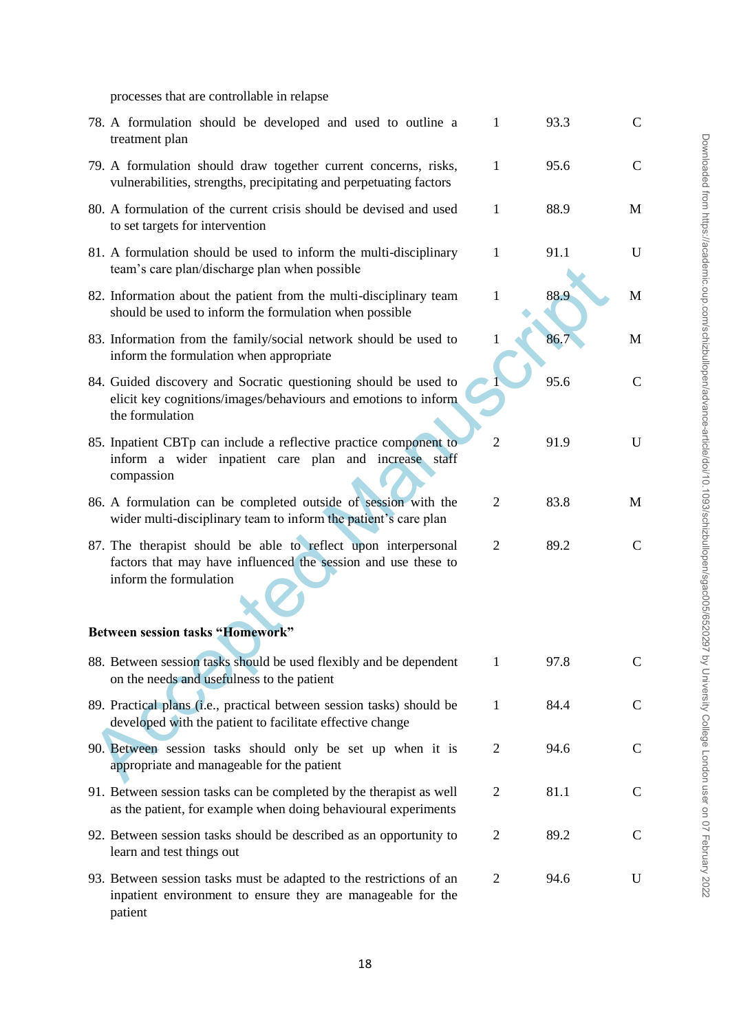processes that are controllable in relapse

| 78. A formulation should be developed and used to outline a<br>treatment plan                                                                             | 1              | 93.3 | $\mathbf C$   |
|-----------------------------------------------------------------------------------------------------------------------------------------------------------|----------------|------|---------------|
| 79. A formulation should draw together current concerns, risks,<br>vulnerabilities, strengths, precipitating and perpetuating factors                     | 1              | 95.6 | $\mathbf C$   |
| 80. A formulation of the current crisis should be devised and used<br>to set targets for intervention                                                     | $\mathbf{1}$   | 88.9 | M             |
| 81. A formulation should be used to inform the multi-disciplinary<br>team's care plan/discharge plan when possible                                        | 1              | 91.1 | U             |
| 82. Information about the patient from the multi-disciplinary team<br>should be used to inform the formulation when possible                              | 1              | 88.9 | М             |
| 83. Information from the family/social network should be used to<br>inform the formulation when appropriate                                               | 1              | 86.7 | М             |
| 84. Guided discovery and Socratic questioning should be used to<br>elicit key cognitions/images/behaviours and emotions to inform<br>the formulation      |                | 95.6 | C             |
| 85. Inpatient CBTp can include a reflective practice component to<br>inform a wider inpatient care plan and increase staff<br>compassion                  | $\overline{2}$ | 91.9 | U             |
| 86. A formulation can be completed outside of session with the<br>wider multi-disciplinary team to inform the patient's care plan                         | $\overline{2}$ | 83.8 | M             |
| 87. The therapist should be able to reflect upon interpersonal<br>factors that may have influenced the session and use these to<br>inform the formulation | $\overline{2}$ | 89.2 | $\mathcal{C}$ |
| <b>Between session tasks "Homework"</b>                                                                                                                   |                |      |               |
| 88. Between session tasks should be used flexibly and be dependent<br>on the needs and usefulness to the patient                                          | 1              | 97.8 | C             |
| 89. Practical plans (i.e., practical between session tasks) should be<br>developed with the patient to facilitate effective change                        | 1              | 84.4 | $\mathsf{C}$  |
| 90. Between session tasks should only be set up when it is<br>appropriate and manageable for the patient                                                  | 2              | 94.6 | $\mathsf{C}$  |
| 91. Between session tasks can be completed by the therapist as well<br>as the patient, for example when doing behavioural experiments                     | 2              | 81.1 | $\mathsf{C}$  |
| 92. Between session tasks should be described as an opportunity to<br>learn and test things out                                                           | 2              | 89.2 | $\mathcal{C}$ |
| 93. Between session tasks must be adapted to the restrictions of an<br>inpatient environment to ensure they are manageable for the<br>patient             | 2              | 94.6 | U             |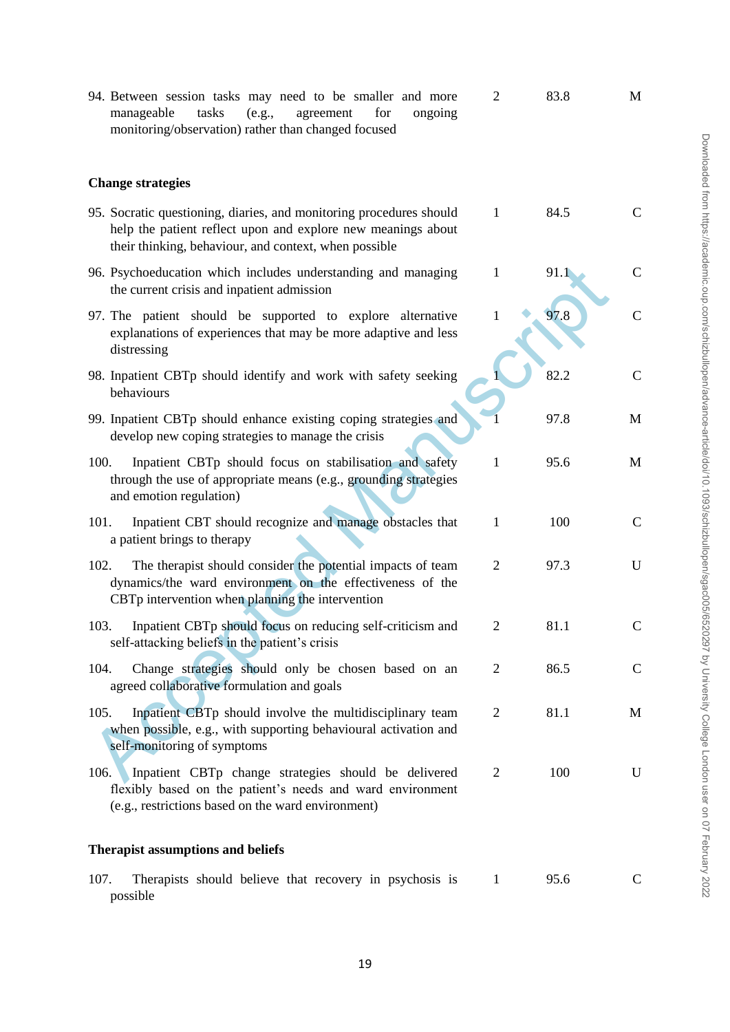| 94. Between session tasks may need to be smaller and more<br>tasks<br>(e.g.,<br>agreement<br>for<br>manageable<br>ongoing<br>monitoring/observation) rather than changed focused             | $\overline{2}$ | 83.8 | M             |
|----------------------------------------------------------------------------------------------------------------------------------------------------------------------------------------------|----------------|------|---------------|
| <b>Change strategies</b>                                                                                                                                                                     |                |      |               |
| 95. Socratic questioning, diaries, and monitoring procedures should<br>help the patient reflect upon and explore new meanings about<br>their thinking, behaviour, and context, when possible | 1              | 84.5 | $\mathsf{C}$  |
| 96. Psychoeducation which includes understanding and managing<br>the current crisis and inpatient admission                                                                                  | $\mathbf{1}$   | 91.1 | C             |
| 97. The patient should be supported to explore alternative<br>explanations of experiences that may be more adaptive and less<br>distressing                                                  | $\mathbf{1}$   | 97.8 | $\mathbf C$   |
| 98. Inpatient CBTp should identify and work with safety seeking<br>behaviours                                                                                                                |                | 82.2 | $\mathcal{C}$ |
| 99. Inpatient CBTp should enhance existing coping strategies and<br>develop new coping strategies to manage the crisis                                                                       |                | 97.8 | M             |
| 100.<br>Inpatient CBTp should focus on stabilisation and safety<br>through the use of appropriate means (e.g., grounding strategies<br>and emotion regulation)                               | $\mathbf{1}$   | 95.6 | M             |
| Inpatient CBT should recognize and manage obstacles that<br>101.<br>a patient brings to therapy                                                                                              | $\mathbf{1}$   | 100  | $\mathcal{C}$ |
| The therapist should consider the potential impacts of team<br>102.<br>dynamics/the ward environment on the effectiveness of the<br>CBTp intervention when planning the intervention         | $\overline{2}$ | 97.3 | U             |
| Inpatient CBTp should focus on reducing self-criticism and<br>103.<br>self-attacking beliefs in the patient's crisis                                                                         | $\mathbf{2}$   | 81.1 | C             |
| Change strategies should only be chosen based on an<br>104.<br>agreed collaborative formulation and goals                                                                                    | 2              | 86.5 | $\mathbf C$   |
| 105.<br>Inpatient CBTp should involve the multidisciplinary team<br>when possible, e.g., with supporting behavioural activation and<br>self-monitoring of symptoms                           | $\overline{2}$ | 81.1 | M             |
| Inpatient CBTp change strategies should be delivered<br>106.<br>flexibly based on the patient's needs and ward environment<br>(e.g., restrictions based on the ward environment)             | $\overline{2}$ | 100  | U             |
| <b>Therapist assumptions and beliefs</b>                                                                                                                                                     |                |      |               |
| 107.<br>Therapists should believe that recovery in psychosis is<br>possible                                                                                                                  | 1              | 95.6 | C             |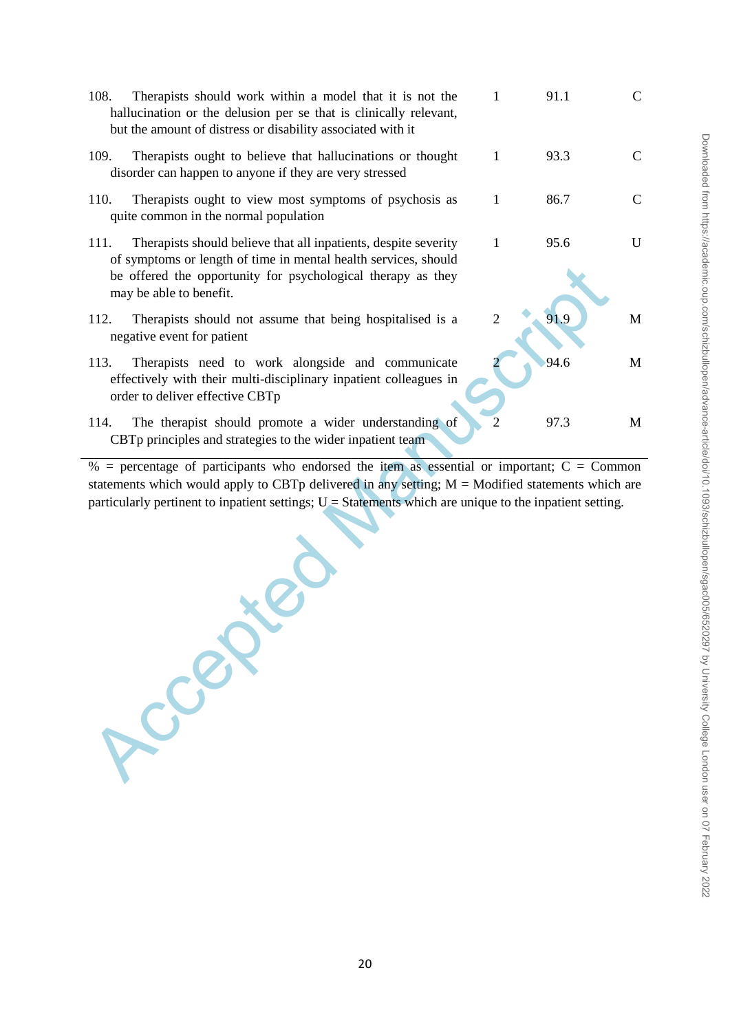| 108. | Therapists should work within a model that it is not the<br>hallucination or the delusion per se that is clinically relevant,<br>but the amount of distress or disability associated with it                                  |   | 91.1 | C |
|------|-------------------------------------------------------------------------------------------------------------------------------------------------------------------------------------------------------------------------------|---|------|---|
| 109. | Therapists ought to believe that hallucinations or thought<br>disorder can happen to anyone if they are very stressed                                                                                                         | 1 | 93.3 |   |
| 110. | Therapists ought to view most symptoms of psychosis as<br>quite common in the normal population                                                                                                                               |   | 86.7 |   |
| 111. | Therapists should believe that all inpatients, despite severity<br>of symptoms or length of time in mental health services, should<br>be offered the opportunity for psychological therapy as they<br>may be able to benefit. | 1 | 95.6 | H |
| 112. | Therapists should not assume that being hospitalised is a<br>negative event for patient                                                                                                                                       |   | 91.9 | M |
| 113. | Therapists need to work alongside and communicate<br>effectively with their multi-disciplinary inpatient colleagues in<br>order to deliver effective CBTp                                                                     |   | 94.6 | M |
| 114. | The therapist should promote a wider understanding of<br>CBTp principles and strategies to the wider inpatient team                                                                                                           |   | 97.3 | M |

Accepted Ma  $%$  = percentage of participants who endorsed the item as essential or important; C = Common statements which would apply to CBTp delivered in any setting; M = Modified statements which are particularly pertinent to inpatient settings;  $U =$  Statements which are unique to the inpatient setting.